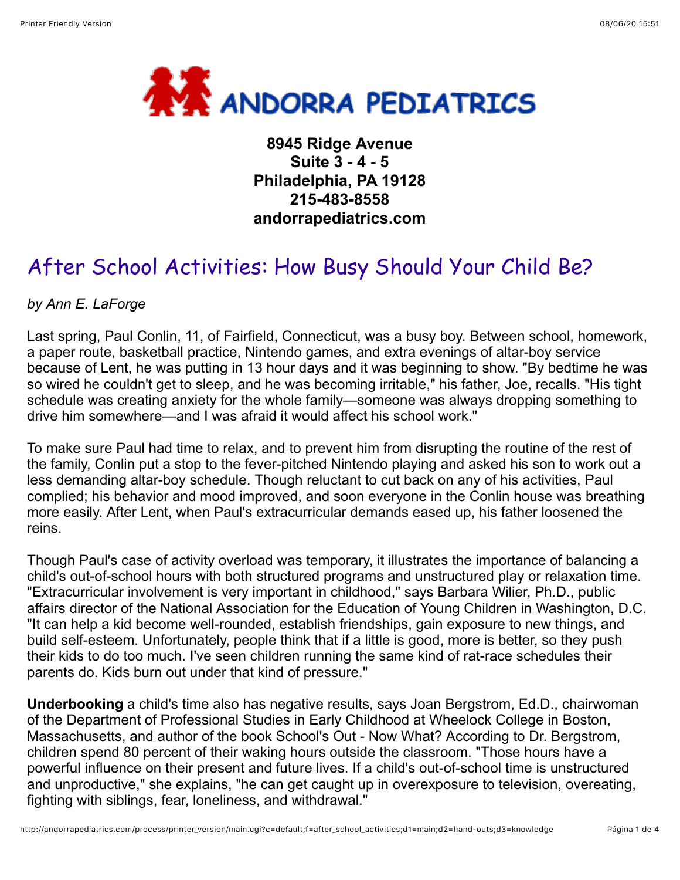

**8945 Ridge Avenue Suite 3 - 4 - 5 Philadelphia, PA 19128 215-483-8558 andorrapediatrics.com**

# After School Activities: How Busy Should Your Child Be?

*by Ann E. LaForge*

Last spring, Paul Conlin, 11, of Fairfield, Connecticut, was a busy boy. Between school, homework, a paper route, basketball practice, Nintendo games, and extra evenings of altar-boy service because of Lent, he was putting in 13 hour days and it was beginning to show. "By bedtime he was so wired he couldn't get to sleep, and he was becoming irritable," his father, Joe, recalls. "His tight schedule was creating anxiety for the whole family—someone was always dropping something to drive him somewhere—and I was afraid it would affect his school work."

To make sure Paul had time to relax, and to prevent him from disrupting the routine of the rest of the family, Conlin put a stop to the fever-pitched Nintendo playing and asked his son to work out a less demanding altar-boy schedule. Though reluctant to cut back on any of his activities, Paul complied; his behavior and mood improved, and soon everyone in the Conlin house was breathing more easily. After Lent, when Paul's extracurricular demands eased up, his father loosened the reins.

Though Paul's case of activity overload was temporary, it illustrates the importance of balancing a child's out-of-school hours with both structured programs and unstructured play or relaxation time. "Extracurricular involvement is very important in childhood," says Barbara Wilier, Ph.D., public affairs director of the National Association for the Education of Young Children in Washington, D.C. "It can help a kid become well-rounded, establish friendships, gain exposure to new things, and build self-esteem. Unfortunately, people think that if a little is good, more is better, so they push their kids to do too much. I've seen children running the same kind of rat-race schedules their parents do. Kids burn out under that kind of pressure."

**Underbooking** a child's time also has negative results, says Joan Bergstrom, Ed.D., chairwoman of the Department of Professional Studies in Early Childhood at Wheelock College in Boston, Massachusetts, and author of the book School's Out - Now What? According to Dr. Bergstrom, children spend 80 percent of their waking hours outside the classroom. "Those hours have a powerful influence on their present and future lives. If a child's out-of-school time is unstructured and unproductive," she explains, "he can get caught up in overexposure to television, overeating, fighting with siblings, fear, loneliness, and withdrawal."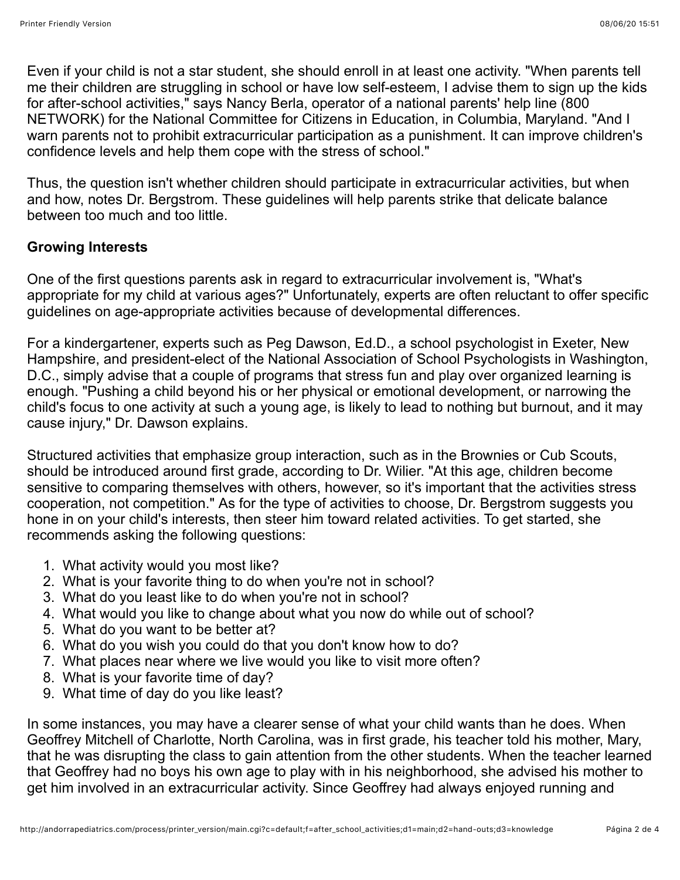Even if your child is not a star student, she should enroll in at least one activity. "When parents tell me their children are struggling in school or have low self-esteem, I advise them to sign up the kids for after-school activities," says Nancy Berla, operator of a national parents' help line (800 NETWORK) for the National Committee for Citizens in Education, in Columbia, Maryland. "And I warn parents not to prohibit extracurricular participation as a punishment. It can improve children's confidence levels and help them cope with the stress of school."

Thus, the question isn't whether children should participate in extracurricular activities, but when and how, notes Dr. Bergstrom. These guidelines will help parents strike that delicate balance between too much and too little.

## **Growing Interests**

One of the first questions parents ask in regard to extracurricular involvement is, "What's appropriate for my child at various ages?" Unfortunately, experts are often reluctant to offer specific guidelines on age-appropriate activities because of developmental differences.

For a kindergartener, experts such as Peg Dawson, Ed.D., a school psychologist in Exeter, New Hampshire, and president-elect of the National Association of School Psychologists in Washington, D.C., simply advise that a couple of programs that stress fun and play over organized learning is enough. "Pushing a child beyond his or her physical or emotional development, or narrowing the child's focus to one activity at such a young age, is likely to lead to nothing but burnout, and it may cause injury," Dr. Dawson explains.

Structured activities that emphasize group interaction, such as in the Brownies or Cub Scouts, should be introduced around first grade, according to Dr. Wilier. "At this age, children become sensitive to comparing themselves with others, however, so it's important that the activities stress cooperation, not competition." As for the type of activities to choose, Dr. Bergstrom suggests you hone in on your child's interests, then steer him toward related activities. To get started, she recommends asking the following questions:

- 1. What activity would you most like?
- 2. What is your favorite thing to do when you're not in school?
- 3. What do you least like to do when you're not in school?
- 4. What would you like to change about what you now do while out of school?
- 5. What do you want to be better at?
- 6. What do you wish you could do that you don't know how to do?
- 7. What places near where we live would you like to visit more often?
- 8. What is your favorite time of day?
- 9. What time of day do you like least?

In some instances, you may have a clearer sense of what your child wants than he does. When Geoffrey Mitchell of Charlotte, North Carolina, was in first grade, his teacher told his mother, Mary, that he was disrupting the class to gain attention from the other students. When the teacher learned that Geoffrey had no boys his own age to play with in his neighborhood, she advised his mother to get him involved in an extracurricular activity. Since Geoffrey had always enjoyed running and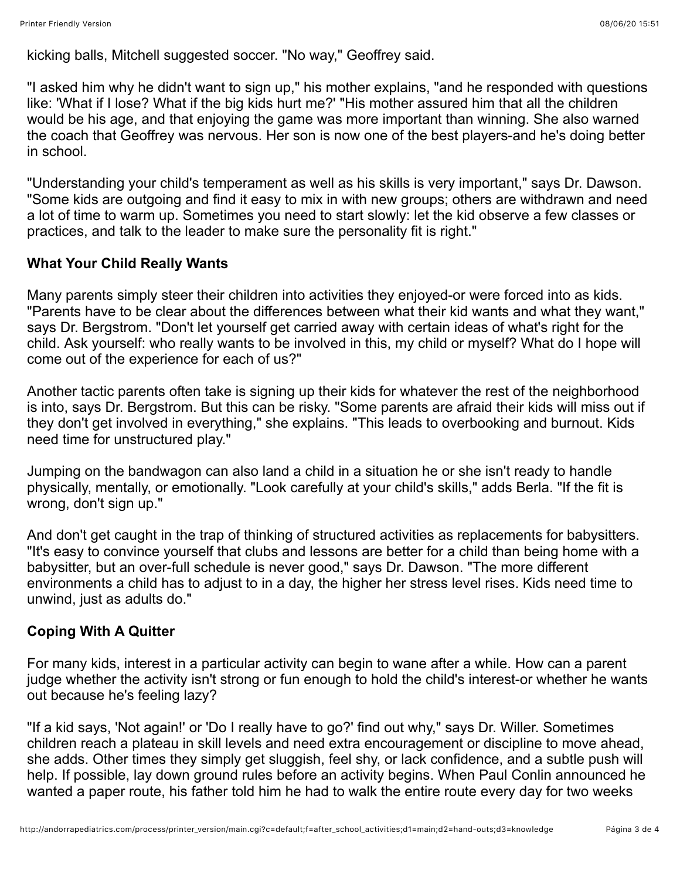kicking balls, Mitchell suggested soccer. "No way," Geoffrey said.

"I asked him why he didn't want to sign up," his mother explains, "and he responded with questions like: 'What if I lose? What if the big kids hurt me?' "His mother assured him that all the children would be his age, and that enjoying the game was more important than winning. She also warned the coach that Geoffrey was nervous. Her son is now one of the best players-and he's doing better in school.

"Understanding your child's temperament as well as his skills is very important," says Dr. Dawson. "Some kids are outgoing and find it easy to mix in with new groups; others are withdrawn and need a lot of time to warm up. Sometimes you need to start slowly: let the kid observe a few classes or practices, and talk to the leader to make sure the personality fit is right."

#### **What Your Child Really Wants**

Many parents simply steer their children into activities they enjoyed-or were forced into as kids. "Parents have to be clear about the differences between what their kid wants and what they want," says Dr. Bergstrom. "Don't let yourself get carried away with certain ideas of what's right for the child. Ask yourself: who really wants to be involved in this, my child or myself? What do I hope will come out of the experience for each of us?"

Another tactic parents often take is signing up their kids for whatever the rest of the neighborhood is into, says Dr. Bergstrom. But this can be risky. "Some parents are afraid their kids will miss out if they don't get involved in everything," she explains. "This leads to overbooking and burnout. Kids need time for unstructured play."

Jumping on the bandwagon can also land a child in a situation he or she isn't ready to handle physically, mentally, or emotionally. "Look carefully at your child's skills," adds Berla. "If the fit is wrong, don't sign up."

And don't get caught in the trap of thinking of structured activities as replacements for babysitters. "It's easy to convince yourself that clubs and lessons are better for a child than being home with a babysitter, but an over-full schedule is never good," says Dr. Dawson. "The more different environments a child has to adjust to in a day, the higher her stress level rises. Kids need time to unwind, just as adults do."

### **Coping With A Quitter**

For many kids, interest in a particular activity can begin to wane after a while. How can a parent judge whether the activity isn't strong or fun enough to hold the child's interest-or whether he wants out because he's feeling lazy?

"If a kid says, 'Not again!' or 'Do I really have to go?' find out why," says Dr. Willer. Sometimes children reach a plateau in skill levels and need extra encouragement or discipline to move ahead, she adds. Other times they simply get sluggish, feel shy, or lack confidence, and a subtle push will help. If possible, lay down ground rules before an activity begins. When Paul Conlin announced he wanted a paper route, his father told him he had to walk the entire route every day for two weeks